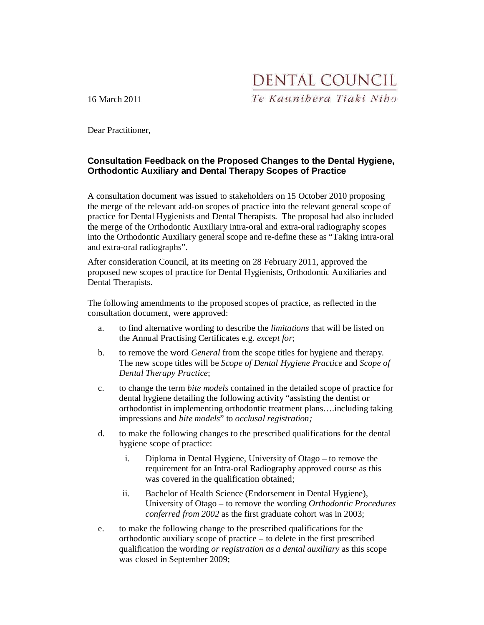DENTAL COUNCIL Te Kaunibera Tiaki Nibo

16 March 2011

Dear Practitioner,

# **Consultation Feedback on the Proposed Changes to the Dental Hygiene, Orthodontic Auxiliary and Dental Therapy Scopes of Practice**

A consultation document was issued to stakeholders on 15 October 2010 proposing the merge of the relevant add-on scopes of practice into the relevant general scope of practice for Dental Hygienists and Dental Therapists. The proposal had also included the merge of the Orthodontic Auxiliary intra-oral and extra-oral radiography scopes into the Orthodontic Auxiliary general scope and re-define these as "Taking intra-oral and extra-oral radiographs".

After consideration Council, at its meeting on 28 February 2011, approved the proposed new scopes of practice for Dental Hygienists, Orthodontic Auxiliaries and Dental Therapists.

The following amendments to the proposed scopes of practice, as reflected in the consultation document, were approved:

- a. to find alternative wording to describe the *limitations* that will be listed on the Annual Practising Certificates e.g. *except for*;
- b. to remove the word *General* from the scope titles for hygiene and therapy. The new scope titles will be *Scope of Dental Hygiene Practice* and *Scope of Dental Therapy Practice*;
- c. to change the term *bite models* contained in the detailed scope of practice for dental hygiene detailing the following activity "assisting the dentist or orthodontist in implementing orthodontic treatment plans….including taking impressions and *bite models*" to *occlusal registration;*
- d. to make the following changes to the prescribed qualifications for the dental hygiene scope of practice:
	- i. Diploma in Dental Hygiene, University of Otago to remove the requirement for an Intra-oral Radiography approved course as this was covered in the qualification obtained;
	- ii. Bachelor of Health Science (Endorsement in Dental Hygiene), University of Otago – to remove the wording *Orthodontic Procedures conferred from 2002* as the first graduate cohort was in 2003;
- e. to make the following change to the prescribed qualifications for the orthodontic auxiliary scope of practice – to delete in the first prescribed qualification the wording *or registration as a dental auxiliary* as this scope was closed in September 2009;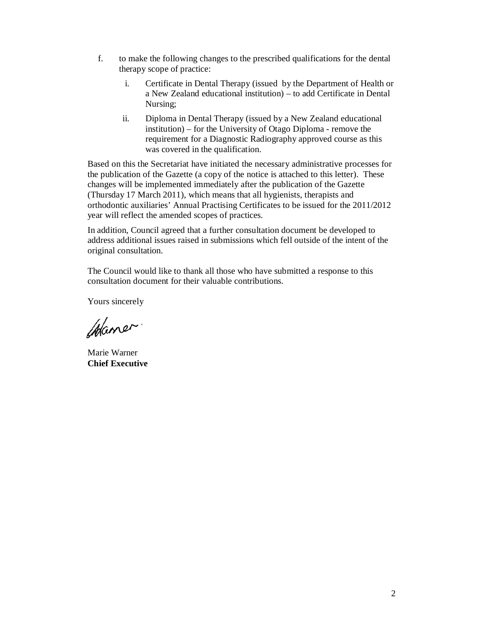- f. to make the following changes to the prescribed qualifications for the dental therapy scope of practice:
	- i. Certificate in Dental Therapy (issued by the Department of Health or a New Zealand educational institution) – to add Certificate in Dental Nursing;
	- ii. Diploma in Dental Therapy (issued by a New Zealand educational institution) – for the University of Otago Diploma - remove the requirement for a Diagnostic Radiography approved course as this was covered in the qualification.

Based on this the Secretariat have initiated the necessary administrative processes for the publication of the Gazette (a copy of the notice is attached to this letter). These changes will be implemented immediately after the publication of the Gazette (Thursday 17 March 2011), which means that all hygienists, therapists and orthodontic auxiliaries' Annual Practising Certificates to be issued for the 2011/2012 year will reflect the amended scopes of practices.

In addition, Council agreed that a further consultation document be developed to address additional issues raised in submissions which fell outside of the intent of the original consultation.

The Council would like to thank all those who have submitted a response to this consultation document for their valuable contributions.

Yours sincerely

Waner.

Marie Warner **Chief Executive**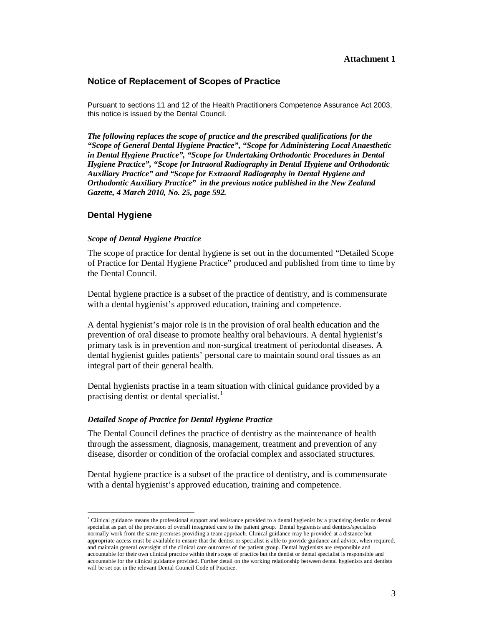### **Attachment 1**

### Notice of Replacement of Scopes of Practice

Pursuant to sections 11 and 12 of the Health Practitioners Competence Assurance Act 2003, this notice is issued by the Dental Council.

*The following replaces the scope of practice and the prescribed qualifications for the "Scope of General Dental Hygiene Practice", "Scope for Administering Local Anaesthetic in Dental Hygiene Practice", "Scope for Undertaking Orthodontic Procedures in Dental Hygiene Practice", "Scope for Intraoral Radiography in Dental Hygiene and Orthodontic Auxiliary Practice" and "Scope for Extraoral Radiography in Dental Hygiene and Orthodontic Auxiliary Practice" in the previous notice published in the New Zealand Gazette, 4 March 2010, No. 25, page 592.*

### **Dental Hygiene**

 $\ddot{ }$ 

#### *Scope of Dental Hygiene Practice*

The scope of practice for dental hygiene is set out in the documented "Detailed Scope of Practice for Dental Hygiene Practice" produced and published from time to time by the Dental Council.

Dental hygiene practice is a subset of the practice of dentistry, and is commensurate with a dental hygienist's approved education, training and competence.

A dental hygienist's major role is in the provision of oral health education and the prevention of oral disease to promote healthy oral behaviours. A dental hygienist's primary task is in prevention and non-surgical treatment of periodontal diseases. A dental hygienist guides patients' personal care to maintain sound oral tissues as an integral part of their general health.

Dental hygienists practise in a team situation with clinical guidance provided by a practising dentist or dental specialist.<sup>1</sup>

#### *Detailed Scope of Practice for Dental Hygiene Practice*

The Dental Council defines the practice of dentistry as the maintenance of health through the assessment, diagnosis, management, treatment and prevention of any disease, disorder or condition of the orofacial complex and associated structures.

Dental hygiene practice is a subset of the practice of dentistry, and is commensurate with a dental hygienist's approved education, training and competence.

<sup>&</sup>lt;sup>1</sup> Clinical guidance means the professional support and assistance provided to a dental hygienist by a practising dentist or dental specialist as part of the provision of overall integrated care to the patient group. Dental hygienists and dentists/specialists normally work from the same premises providing a team approach. Clinical guidance may be provided at a distance but appropriate access must be available to ensure that the dentist or specialist is able to provide guidance and advice, when required, and maintain general oversight of the clinical care outcomes of the patient group. Dental hygienists are responsible and accountable for their own clinical practice within their scope of practice but the dentist or dental specialist is responsible and accountable for the clinical guidance provided. Further detail on the working relationship between dental hygienists and dentists will be set out in the relevant Dental Council Code of Practice.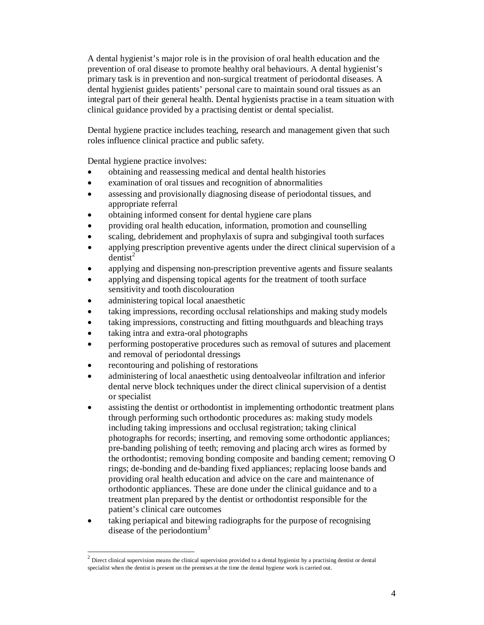A dental hygienist's major role is in the provision of oral health education and the prevention of oral disease to promote healthy oral behaviours. A dental hygienist's primary task is in prevention and non-surgical treatment of periodontal diseases. A dental hygienist guides patients' personal care to maintain sound oral tissues as an integral part of their general health. Dental hygienists practise in a team situation with clinical guidance provided by a practising dentist or dental specialist.

Dental hygiene practice includes teaching, research and management given that such roles influence clinical practice and public safety.

Dental hygiene practice involves:

- obtaining and reassessing medical and dental health histories
- examination of oral tissues and recognition of abnormalities
- assessing and provisionally diagnosing disease of periodontal tissues, and appropriate referral
- obtaining informed consent for dental hygiene care plans
- providing oral health education, information, promotion and counselling
- scaling, debridement and prophylaxis of supra and subgingival tooth surfaces
- applying prescription preventive agents under the direct clinical supervision of a  $d$ entist<sup>2</sup>
- applying and dispensing non-prescription preventive agents and fissure sealants
- applying and dispensing topical agents for the treatment of tooth surface sensitivity and tooth discolouration
- administering topical local anaesthetic
- taking impressions, recording occlusal relationships and making study models
- taking impressions, constructing and fitting mouthguards and bleaching trays
- taking intra and extra-oral photographs
- performing postoperative procedures such as removal of sutures and placement and removal of periodontal dressings
- recontouring and polishing of restorations

- administering of local anaesthetic using dentoalveolar infiltration and inferior dental nerve block techniques under the direct clinical supervision of a dentist or specialist
- assisting the dentist or orthodontist in implementing orthodontic treatment plans through performing such orthodontic procedures as: making study models including taking impressions and occlusal registration; taking clinical photographs for records; inserting, and removing some orthodontic appliances; pre-banding polishing of teeth; removing and placing arch wires as formed by the orthodontist; removing bonding composite and banding cement; removing O rings; de-bonding and de-banding fixed appliances; replacing loose bands and providing oral health education and advice on the care and maintenance of orthodontic appliances. These are done under the clinical guidance and to a treatment plan prepared by the dentist or orthodontist responsible for the patient's clinical care outcomes
- taking periapical and bitewing radiographs for the purpose of recognising disease of the periodontium<sup>3</sup>

 $2$  Direct clinical supervision means the clinical supervision provided to a dental hygienist by a practising dentist or dental specialist when the dentist is present on the premises at the time the dental hygiene work is carried out.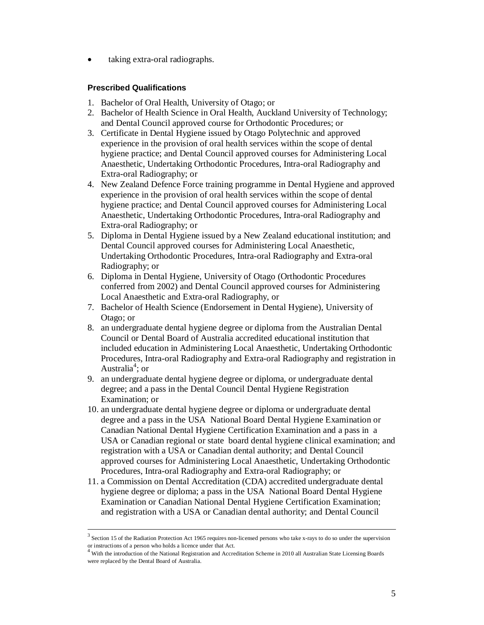• taking extra-oral radiographs.

# **Prescribed Qualifications**

- 1. Bachelor of Oral Health, University of Otago; or
- 2. Bachelor of Health Science in Oral Health, Auckland University of Technology; and Dental Council approved course for Orthodontic Procedures; or
- 3. Certificate in Dental Hygiene issued by Otago Polytechnic and approved experience in the provision of oral health services within the scope of dental hygiene practice; and Dental Council approved courses for Administering Local Anaesthetic, Undertaking Orthodontic Procedures, Intra-oral Radiography and Extra-oral Radiography; or
- 4. New Zealand Defence Force training programme in Dental Hygiene and approved experience in the provision of oral health services within the scope of dental hygiene practice; and Dental Council approved courses for Administering Local Anaesthetic, Undertaking Orthodontic Procedures, Intra-oral Radiography and Extra-oral Radiography; or
- 5. Diploma in Dental Hygiene issued by a New Zealand educational institution; and Dental Council approved courses for Administering Local Anaesthetic, Undertaking Orthodontic Procedures, Intra-oral Radiography and Extra-oral Radiography; or
- 6. Diploma in Dental Hygiene, University of Otago (Orthodontic Procedures conferred from 2002) and Dental Council approved courses for Administering Local Anaesthetic and Extra-oral Radiography, or
- 7. Bachelor of Health Science (Endorsement in Dental Hygiene), University of Otago; or
- 8. an undergraduate dental hygiene degree or diploma from the Australian Dental Council or Dental Board of Australia accredited educational institution that included education in Administering Local Anaesthetic, Undertaking Orthodontic Procedures, Intra-oral Radiography and Extra-oral Radiography and registration in Australia<sup>4</sup>; or
- 9. an undergraduate dental hygiene degree or diploma, or undergraduate dental degree; and a pass in the Dental Council Dental Hygiene Registration Examination; or
- 10. an undergraduate dental hygiene degree or diploma or undergraduate dental degree and a pass in the USA National Board Dental Hygiene Examination or Canadian National Dental Hygiene Certification Examination and a pass in a USA or Canadian regional or state board dental hygiene clinical examination; and registration with a USA or Canadian dental authority; and Dental Council approved courses for Administering Local Anaesthetic, Undertaking Orthodontic Procedures, Intra-oral Radiography and Extra-oral Radiography; or
- 11. a Commission on Dental Accreditation (CDA) accredited undergraduate dental hygiene degree or diploma; a pass in the USA National Board Dental Hygiene Examination or Canadian National Dental Hygiene Certification Examination; and registration with a USA or Canadian dental authority; and Dental Council

 $3$  Section 15 of the Radiation Protection Act 1965 requires non-licensed persons who take x-rays to do so under the supervision or instructions of a person who holds a licence under that Act.<br><sup>4</sup> With the introduction of the National Registration and Accreditation Scheme in 2010 all Australian State Licensing Boards

were replaced by the Dental Board of Australia.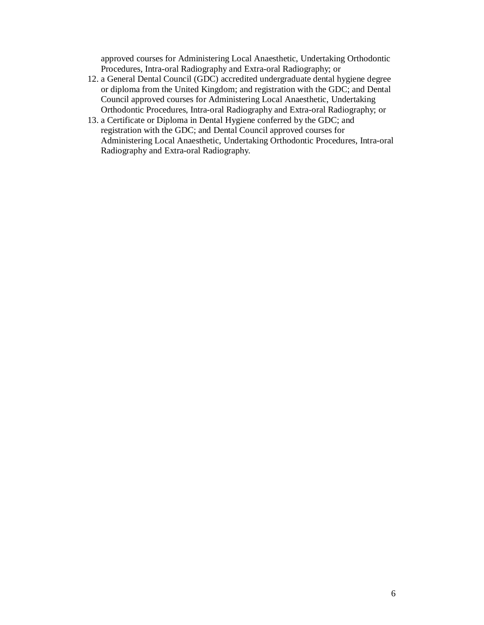approved courses for Administering Local Anaesthetic, Undertaking Orthodontic Procedures, Intra-oral Radiography and Extra-oral Radiography; or

- 12. a General Dental Council (GDC) accredited undergraduate dental hygiene degree or diploma from the United Kingdom; and registration with the GDC; and Dental Council approved courses for Administering Local Anaesthetic, Undertaking Orthodontic Procedures, Intra-oral Radiography and Extra-oral Radiography; or
- 13. a Certificate or Diploma in Dental Hygiene conferred by the GDC; and registration with the GDC; and Dental Council approved courses for Administering Local Anaesthetic, Undertaking Orthodontic Procedures, Intra-oral Radiography and Extra-oral Radiography.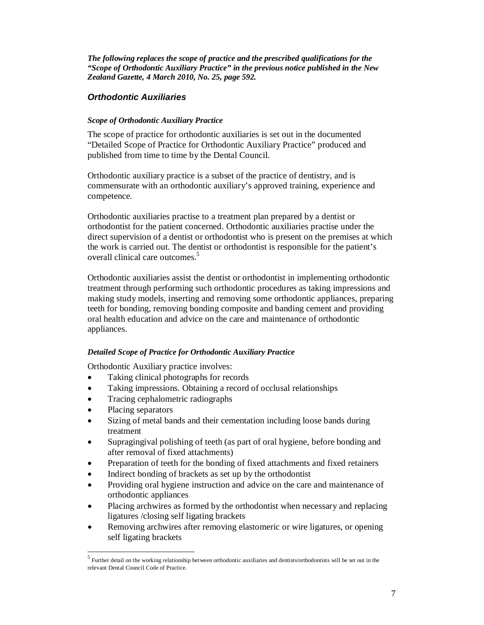*The following replaces the scope of practice and the prescribed qualifications for the "Scope of Orthodontic Auxiliary Practice" in the previous notice published in the New Zealand Gazette, 4 March 2010, No. 25, page 592.*

# **Orthodontic Auxiliaries**

### *Scope of Orthodontic Auxiliary Practice*

The scope of practice for orthodontic auxiliaries is set out in the documented "Detailed Scope of Practice for Orthodontic Auxiliary Practice" produced and published from time to time by the Dental Council.

Orthodontic auxiliary practice is a subset of the practice of dentistry, and is commensurate with an orthodontic auxiliary's approved training, experience and competence.

Orthodontic auxiliaries practise to a treatment plan prepared by a dentist or orthodontist for the patient concerned. Orthodontic auxiliaries practise under the direct supervision of a dentist or orthodontist who is present on the premises at which the work is carried out. The dentist or orthodontist is responsible for the patient's overall clinical care outcomes.<sup>5</sup>

Orthodontic auxiliaries assist the dentist or orthodontist in implementing orthodontic treatment through performing such orthodontic procedures as taking impressions and making study models, inserting and removing some orthodontic appliances, preparing teeth for bonding, removing bonding composite and banding cement and providing oral health education and advice on the care and maintenance of orthodontic appliances.

## *Detailed Scope of Practice for Orthodontic Auxiliary Practice*

Orthodontic Auxiliary practice involves:

- Taking clinical photographs for records
- Taking impressions. Obtaining a record of occlusal relationships
- Tracing cephalometric radiographs
- Placing separators

- Sizing of metal bands and their cementation including loose bands during treatment
- Supragingival polishing of teeth (as part of oral hygiene, before bonding and after removal of fixed attachments)
- Preparation of teeth for the bonding of fixed attachments and fixed retainers
- Indirect bonding of brackets as set up by the orthodontist
- Providing oral hygiene instruction and advice on the care and maintenance of orthodontic appliances
- Placing archwires as formed by the orthodontist when necessary and replacing ligatures /closing self ligating brackets
- Removing archwires after removing elastomeric or wire ligatures, or opening self ligating brackets

<sup>&</sup>lt;sup>5</sup> Further detail on the working relationship between orthodontic auxiliaries and dentists/orthodontists will be set out in the relevant Dental Council Code of Practice.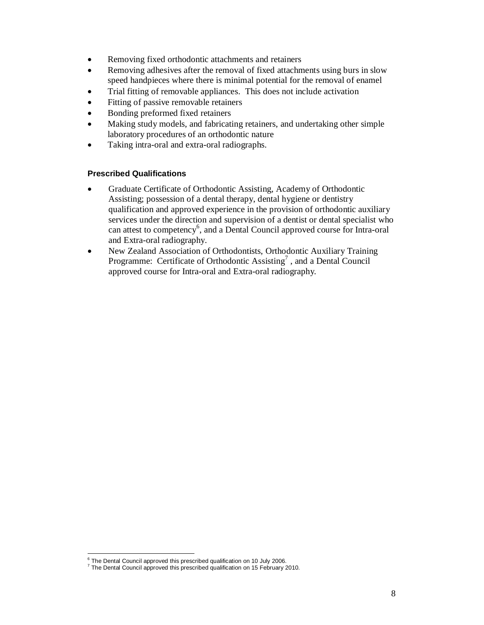- Removing fixed orthodontic attachments and retainers
- Removing adhesives after the removal of fixed attachments using burs in slow speed handpieces where there is minimal potential for the removal of enamel
- Trial fitting of removable appliances. This does not include activation
- Fitting of passive removable retainers
- Bonding preformed fixed retainers
- Making study models, and fabricating retainers, and undertaking other simple laboratory procedures of an orthodontic nature
- Taking intra-oral and extra-oral radiographs.

## **Prescribed Qualifications**

- Graduate Certificate of Orthodontic Assisting, Academy of Orthodontic Assisting; possession of a dental therapy, dental hygiene or dentistry qualification and approved experience in the provision of orthodontic auxiliary services under the direction and supervision of a dentist or dental specialist who can attest to competency<sup>6</sup>, and a Dental Council approved course for Intra-oral and Extra-oral radiography.
- New Zealand Association of Orthodontists, Orthodontic Auxiliary Training Programme: Certificate of Orthodontic Assisting<sup>7</sup>, and a Dental Council approved course for Intra-oral and Extra-oral radiography.

 6 The Dental Council approved this prescribed qualification on 10 July 2006.

 $7$  The Dental Council approved this prescribed qualification on 15 February 2010.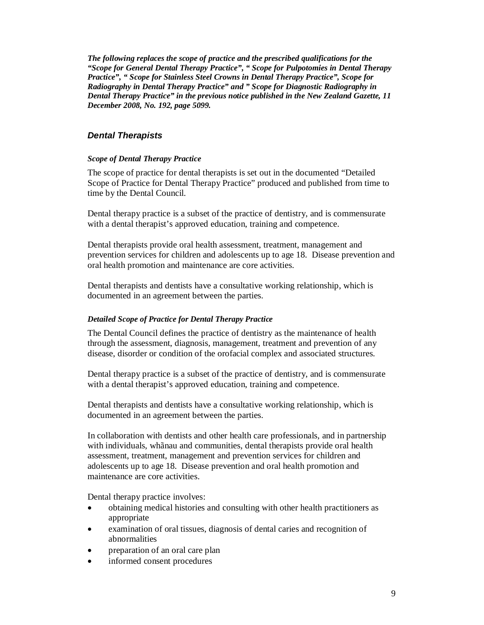*The following replaces the scope of practice and the prescribed qualifications for the "Scope for General Dental Therapy Practice", " Scope for Pulpotomies in Dental Therapy Practice", " Scope for Stainless Steel Crowns in Dental Therapy Practice", Scope for Radiography in Dental Therapy Practice" and " Scope for Diagnostic Radiography in Dental Therapy Practice" in the previous notice published in the New Zealand Gazette, 11 December 2008, No. 192, page 5099.*

# **Dental Therapists**

### *Scope of Dental Therapy Practice*

The scope of practice for dental therapists is set out in the documented "Detailed Scope of Practice for Dental Therapy Practice" produced and published from time to time by the Dental Council.

Dental therapy practice is a subset of the practice of dentistry, and is commensurate with a dental therapist's approved education, training and competence.

Dental therapists provide oral health assessment, treatment, management and prevention services for children and adolescents up to age 18. Disease prevention and oral health promotion and maintenance are core activities.

Dental therapists and dentists have a consultative working relationship, which is documented in an agreement between the parties.

#### *Detailed Scope of Practice for Dental Therapy Practice*

The Dental Council defines the practice of dentistry as the maintenance of health through the assessment, diagnosis, management, treatment and prevention of any disease, disorder or condition of the orofacial complex and associated structures.

Dental therapy practice is a subset of the practice of dentistry, and is commensurate with a dental therapist's approved education, training and competence.

Dental therapists and dentists have a consultative working relationship, which is documented in an agreement between the parties.

In collaboration with dentists and other health care professionals, and in partnership with individuals, whãnau and communities, dental therapists provide oral health assessment, treatment, management and prevention services for children and adolescents up to age 18. Disease prevention and oral health promotion and maintenance are core activities.

Dental therapy practice involves:

- obtaining medical histories and consulting with other health practitioners as appropriate
- examination of oral tissues, diagnosis of dental caries and recognition of abnormalities
- preparation of an oral care plan
- informed consent procedures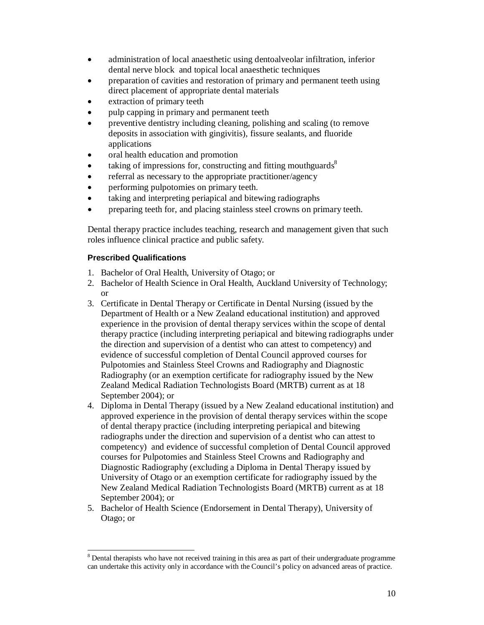- administration of local anaesthetic using dentoalveolar infiltration, inferior dental nerve block and topical local anaesthetic techniques
- preparation of cavities and restoration of primary and permanent teeth using direct placement of appropriate dental materials
- extraction of primary teeth
- pulp capping in primary and permanent teeth
- preventive dentistry including cleaning, polishing and scaling (to remove deposits in association with gingivitis), fissure sealants, and fluoride applications
- oral health education and promotion
- taking of impressions for, constructing and fitting mouthguards<sup>8</sup>
- referral as necessary to the appropriate practitioner/agency
- performing pulpotomies on primary teeth.
- taking and interpreting periapical and bitewing radiographs
- preparing teeth for, and placing stainless steel crowns on primary teeth.

Dental therapy practice includes teaching, research and management given that such roles influence clinical practice and public safety.

## **Prescribed Qualifications**

- 1. Bachelor of Oral Health, University of Otago; or
- 2. Bachelor of Health Science in Oral Health, Auckland University of Technology; or
- 3. Certificate in Dental Therapy or Certificate in Dental Nursing (issued by the Department of Health or a New Zealand educational institution) and approved experience in the provision of dental therapy services within the scope of dental therapy practice (including interpreting periapical and bitewing radiographs under the direction and supervision of a dentist who can attest to competency) and evidence of successful completion of Dental Council approved courses for Pulpotomies and Stainless Steel Crowns and Radiography and Diagnostic Radiography (or an exemption certificate for radiography issued by the New Zealand Medical Radiation Technologists Board (MRTB) current as at 18 September 2004); or
- 4. Diploma in Dental Therapy (issued by a New Zealand educational institution) and approved experience in the provision of dental therapy services within the scope of dental therapy practice (including interpreting periapical and bitewing radiographs under the direction and supervision of a dentist who can attest to competency) and evidence of successful completion of Dental Council approved courses for Pulpotomies and Stainless Steel Crowns and Radiography and Diagnostic Radiography (excluding a Diploma in Dental Therapy issued by University of Otago or an exemption certificate for radiography issued by the New Zealand Medical Radiation Technologists Board (MRTB) current as at 18 September 2004); or
- 5. Bachelor of Health Science (Endorsement in Dental Therapy), University of Otago; or

<sup>&</sup>lt;sup>8</sup> Dental therapists who have not received training in this area as part of their undergraduate programme can undertake this activity only in accordance with the Council's policy on advanced areas of practice.